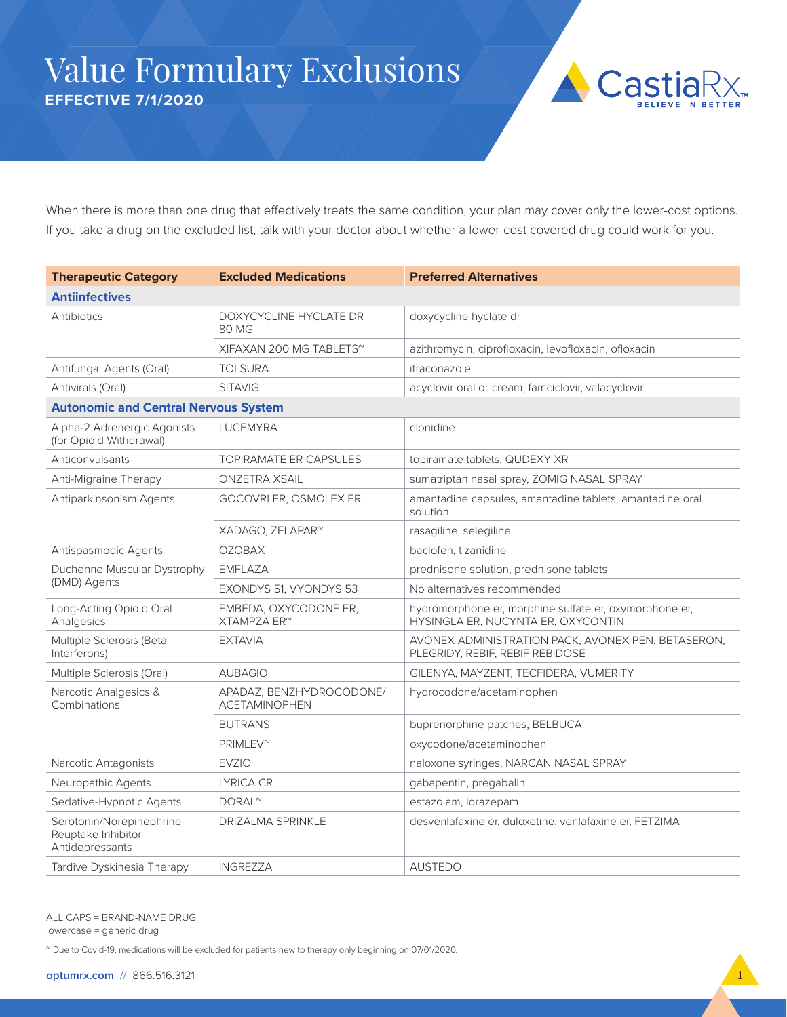## Value Formulary Exclusions **EFFECTIVE 7/1/2020**



When there is more than one drug that effectively treats the same condition, your plan may cover only the lower-cost options. If you take a drug on the excluded list, talk with your doctor about whether a lower-cost covered drug could work for you.

| <b>Therapeutic Category</b>                                       | <b>Excluded Medications</b>                      | <b>Preferred Alternatives</b>                                                                |
|-------------------------------------------------------------------|--------------------------------------------------|----------------------------------------------------------------------------------------------|
| <b>Antiinfectives</b>                                             |                                                  |                                                                                              |
| Antibiotics                                                       | DOXYCYCLINE HYCLATE DR<br>80 MG                  | doxycycline hyclate dr                                                                       |
|                                                                   | XIFAXAN 200 MG TABLETS <sup>~</sup>              | azithromycin, ciprofloxacin, levofloxacin, ofloxacin                                         |
| Antifungal Agents (Oral)                                          | <b>TOLSURA</b>                                   | itraconazole                                                                                 |
| Antivirals (Oral)                                                 | <b>SITAVIG</b>                                   | acyclovir oral or cream, famciclovir, valacyclovir                                           |
| <b>Autonomic and Central Nervous System</b>                       |                                                  |                                                                                              |
| Alpha-2 Adrenergic Agonists<br>(for Opioid Withdrawal)            | <b>LUCEMYRA</b>                                  | clonidine                                                                                    |
| Anticonvulsants                                                   | <b>TOPIRAMATE ER CAPSULES</b>                    | topiramate tablets, QUDEXY XR                                                                |
| Anti-Migraine Therapy                                             | <b>ONZETRA XSAIL</b>                             | sumatriptan nasal spray, ZOMIG NASAL SPRAY                                                   |
| Antiparkinsonism Agents                                           | GOCOVRI ER, OSMOLEX ER                           | amantadine capsules, amantadine tablets, amantadine oral<br>solution                         |
|                                                                   | XADAGO, ZELAPAR <sup>~</sup>                     | rasagiline, selegiline                                                                       |
| Antispasmodic Agents                                              | <b>OZOBAX</b>                                    | baclofen, tizanidine                                                                         |
| Duchenne Muscular Dystrophy                                       | <b>EMFLAZA</b>                                   | prednisone solution, prednisone tablets                                                      |
| (DMD) Agents                                                      | EXONDYS 51, VYONDYS 53                           | No alternatives recommended                                                                  |
| Long-Acting Opioid Oral<br>Analgesics                             | EMBEDA, OXYCODONE ER,<br>XTAMPZA ER <sup>~</sup> | hydromorphone er, morphine sulfate er, oxymorphone er,<br>HYSINGLA ER, NUCYNTA ER, OXYCONTIN |
| Multiple Sclerosis (Beta<br>Interferons)                          | <b>EXTAVIA</b>                                   | AVONEX ADMINISTRATION PACK, AVONEX PEN, BETASERON,<br>PLEGRIDY, REBIF, REBIF REBIDOSE        |
| Multiple Sclerosis (Oral)                                         | <b>AUBAGIO</b>                                   | GILENYA, MAYZENT, TECFIDERA, VUMERITY                                                        |
| Narcotic Analgesics &<br>Combinations                             | APADAZ, BENZHYDROCODONE/<br><b>ACETAMINOPHEN</b> | hydrocodone/acetaminophen                                                                    |
|                                                                   | <b>BUTRANS</b>                                   | buprenorphine patches, BELBUCA                                                               |
|                                                                   | PRIMLEV <sup>~</sup>                             | oxycodone/acetaminophen                                                                      |
| Narcotic Antagonists                                              | <b>EVZIO</b>                                     | naloxone syringes, NARCAN NASAL SPRAY                                                        |
| Neuropathic Agents                                                | LYRICA CR                                        | gabapentin, pregabalin                                                                       |
| Sedative-Hypnotic Agents                                          | $DORAL^{\sim}$                                   | estazolam, lorazepam                                                                         |
| Serotonin/Norepinephrine<br>Reuptake Inhibitor<br>Antidepressants | <b>DRIZALMA SPRINKLE</b>                         | desvenlafaxine er, duloxetine, venlafaxine er, FETZIMA                                       |
| Tardive Dyskinesia Therapy                                        | <b>INGREZZA</b>                                  | <b>AUSTEDO</b>                                                                               |

ALL CAPS = BRAND-NAME DRUG lowercase = generic drug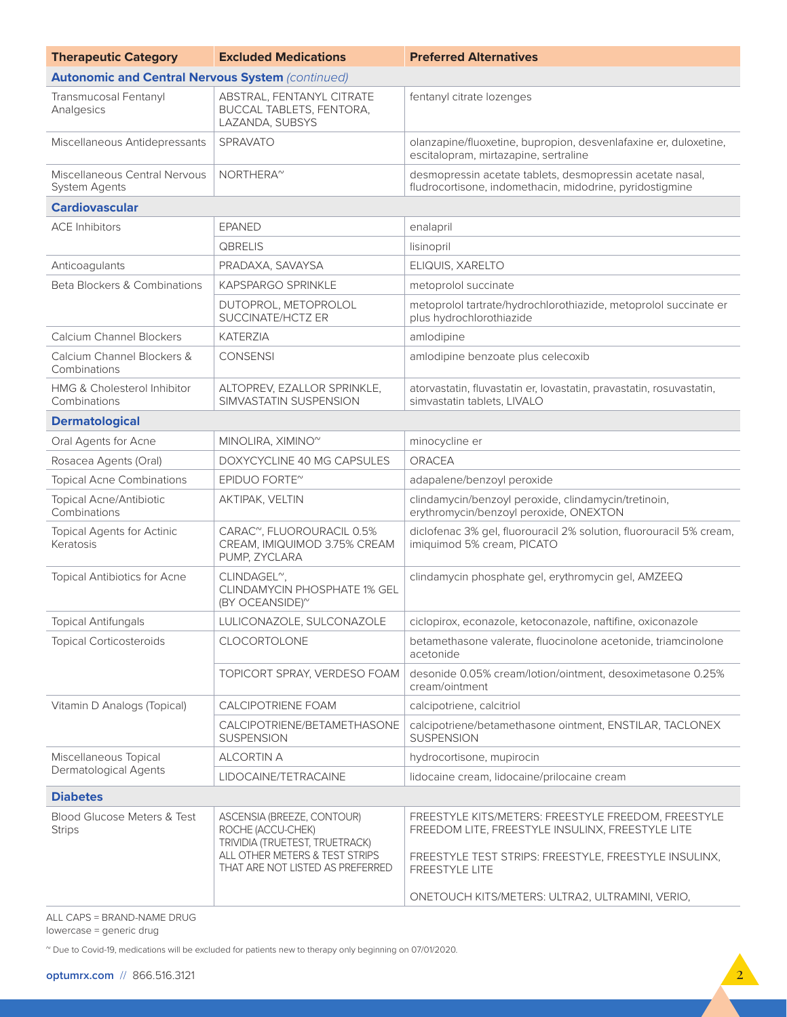| <b>Therapeutic Category</b>                             | <b>Excluded Medications</b>                                                                                         | <b>Preferred Alternatives</b>                                                                                                                                    |
|---------------------------------------------------------|---------------------------------------------------------------------------------------------------------------------|------------------------------------------------------------------------------------------------------------------------------------------------------------------|
| <b>Autonomic and Central Nervous System (continued)</b> |                                                                                                                     |                                                                                                                                                                  |
| Transmucosal Fentanyl<br>Analgesics                     | ABSTRAL, FENTANYL CITRATE<br>BUCCAL TABLETS, FENTORA,<br>LAZANDA, SUBSYS                                            | fentanyl citrate lozenges                                                                                                                                        |
| Miscellaneous Antidepressants                           | SPRAVATO                                                                                                            | olanzapine/fluoxetine, bupropion, desvenlafaxine er, duloxetine,<br>escitalopram, mirtazapine, sertraline                                                        |
| Miscellaneous Central Nervous<br><b>System Agents</b>   | NORTHERA <sup>~</sup>                                                                                               | desmopressin acetate tablets, desmopressin acetate nasal,<br>fludrocortisone, indomethacin, midodrine, pyridostigmine                                            |
| <b>Cardiovascular</b>                                   |                                                                                                                     |                                                                                                                                                                  |
| <b>ACE Inhibitors</b>                                   | <b>EPANED</b>                                                                                                       | enalapril                                                                                                                                                        |
|                                                         | QBRELIS                                                                                                             | lisinopril                                                                                                                                                       |
| Anticoagulants                                          | PRADAXA, SAVAYSA                                                                                                    | ELIQUIS, XARELTO                                                                                                                                                 |
| Beta Blockers & Combinations                            | <b>KAPSPARGO SPRINKLE</b>                                                                                           | metoprolol succinate                                                                                                                                             |
|                                                         | DUTOPROL, METOPROLOL<br>SUCCINATE/HCTZ ER                                                                           | metoprolol tartrate/hydrochlorothiazide, metoprolol succinate er<br>plus hydrochlorothiazide                                                                     |
| Calcium Channel Blockers                                | <b>KATERZIA</b>                                                                                                     | amlodipine                                                                                                                                                       |
| Calcium Channel Blockers &<br>Combinations              | <b>CONSENSI</b>                                                                                                     | amlodipine benzoate plus celecoxib                                                                                                                               |
| <b>HMG &amp; Cholesterol Inhibitor</b><br>Combinations  | ALTOPREV, EZALLOR SPRINKLE,<br>SIMVASTATIN SUSPENSION                                                               | atorvastatin, fluvastatin er, lovastatin, pravastatin, rosuvastatin,<br>simvastatin tablets, LIVALO                                                              |
| <b>Dermatological</b>                                   |                                                                                                                     |                                                                                                                                                                  |
| Oral Agents for Acne                                    | MINOLIRA, XIMINO <sup>~</sup>                                                                                       | minocycline er                                                                                                                                                   |
| Rosacea Agents (Oral)                                   | DOXYCYCLINE 40 MG CAPSULES                                                                                          | <b>ORACEA</b>                                                                                                                                                    |
| <b>Topical Acne Combinations</b>                        | EPIDUO FORTE <sup>~</sup>                                                                                           | adapalene/benzoyl peroxide                                                                                                                                       |
| Topical Acne/Antibiotic<br>Combinations                 | AKTIPAK, VELTIN                                                                                                     | clindamycin/benzoyl peroxide, clindamycin/tretinoin,<br>erythromycin/benzoyl peroxide, ONEXTON                                                                   |
| <b>Topical Agents for Actinic</b><br>Keratosis          | CARAC", FLUOROURACIL 0.5%<br>CREAM, IMIQUIMOD 3.75% CREAM<br>PUMP, ZYCLARA                                          | diclofenac 3% gel, fluorouracil 2% solution, fluorouracil 5% cream,<br>imiquimod 5% cream, PICATO                                                                |
| Topical Antibiotics for Acne                            | CLINDAGEL <sup>~</sup> ,<br>CLINDAMYCIN PHOSPHATE 1% GEL<br>(BY OCEANSIDE) <sup>~</sup>                             | clindamycin phosphate gel, erythromycin gel, AMZEEQ                                                                                                              |
| <b>Topical Antifungals</b>                              | LULICONAZOLE, SULCONAZOLE                                                                                           | ciclopirox, econazole, ketoconazole, naftifine, oxiconazole                                                                                                      |
| <b>Topical Corticosteroids</b>                          | CLOCORTOLONE                                                                                                        | betamethasone valerate, fluocinolone acetonide, triamcinolone<br>acetonide                                                                                       |
|                                                         | TOPICORT SPRAY, VERDESO FOAM                                                                                        | desonide 0.05% cream/lotion/ointment, desoximetasone 0.25%<br>cream/ointment                                                                                     |
| Vitamin D Analogs (Topical)                             | <b>CALCIPOTRIENE FOAM</b>                                                                                           | calcipotriene, calcitriol                                                                                                                                        |
|                                                         | CALCIPOTRIENE/BETAMETHASONE<br><b>SUSPENSION</b>                                                                    | calcipotriene/betamethasone ointment, ENSTILAR, TACLONEX<br><b>SUSPENSION</b>                                                                                    |
| Miscellaneous Topical<br>Dermatological Agents          | <b>ALCORTIN A</b>                                                                                                   | hydrocortisone, mupirocin                                                                                                                                        |
|                                                         | LIDOCAINE/TETRACAINE                                                                                                | lidocaine cream, lidocaine/prilocaine cream                                                                                                                      |
| <b>Diabetes</b>                                         |                                                                                                                     |                                                                                                                                                                  |
| <b>Blood Glucose Meters &amp; Test</b><br><b>Strips</b> | ASCENSIA (BREEZE, CONTOUR)<br>ROCHE (ACCU-CHEK)<br>TRIVIDIA (TRUETEST, TRUETRACK)<br>ALL OTHER METERS & TEST STRIPS | FREESTYLE KITS/METERS: FREESTYLE FREEDOM, FREESTYLE<br>FREEDOM LITE, FREESTYLE INSULINX, FREESTYLE LITE<br>FREESTYLE TEST STRIPS: FREESTYLE, FREESTYLE INSULINX, |
|                                                         | THAT ARE NOT LISTED AS PREFERRED                                                                                    | FREESTYLE LITE                                                                                                                                                   |
|                                                         |                                                                                                                     | ONETOUCH KITS/METERS: ULTRA2, ULTRAMINI, VERIO,                                                                                                                  |

ALL CAPS = BRAND-NAME DRUG

lowercase = generic drug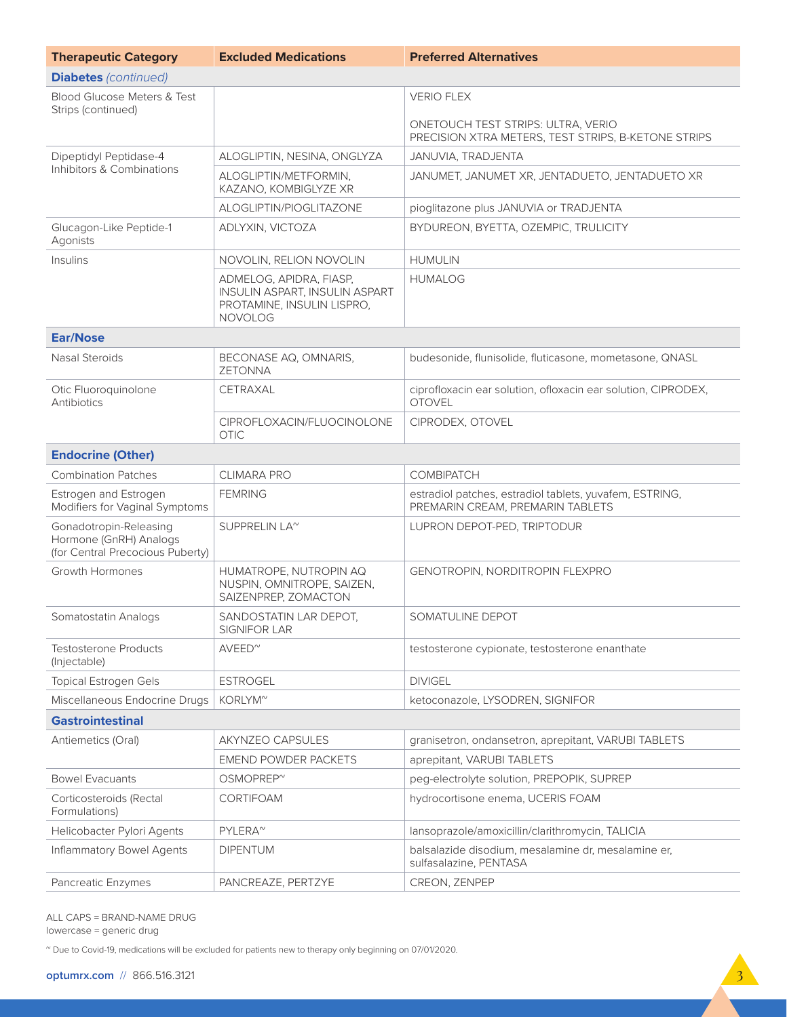| <b>Therapeutic Category</b>                                                          | <b>Excluded Medications</b>                                                                               | <b>Preferred Alternatives</b>                                                               |  |
|--------------------------------------------------------------------------------------|-----------------------------------------------------------------------------------------------------------|---------------------------------------------------------------------------------------------|--|
| <b>Diabetes</b> (continued)                                                          |                                                                                                           |                                                                                             |  |
| <b>Blood Glucose Meters &amp; Test</b>                                               |                                                                                                           | <b>VERIO FLEX</b>                                                                           |  |
| Strips (continued)                                                                   |                                                                                                           | ONETOUCH TEST STRIPS: ULTRA, VERIO<br>PRECISION XTRA METERS, TEST STRIPS, B-KETONE STRIPS   |  |
| Dipeptidyl Peptidase-4                                                               | ALOGLIPTIN, NESINA, ONGLYZA                                                                               | JANUVIA, TRADJENTA                                                                          |  |
| Inhibitors & Combinations                                                            | ALOGLIPTIN/METFORMIN,<br>KAZANO, KOMBIGLYZE XR                                                            | JANUMET, JANUMET XR, JENTADUETO, JENTADUETO XR                                              |  |
|                                                                                      | ALOGLIPTIN/PIOGLITAZONE                                                                                   | pioglitazone plus JANUVIA or TRADJENTA                                                      |  |
| Glucagon-Like Peptide-1<br>Agonists                                                  | ADLYXIN, VICTOZA                                                                                          | BYDUREON, BYETTA, OZEMPIC, TRULICITY                                                        |  |
| Insulins                                                                             | NOVOLIN, RELION NOVOLIN                                                                                   | <b>HUMULIN</b>                                                                              |  |
|                                                                                      | ADMELOG, APIDRA, FIASP,<br>INSULIN ASPART, INSULIN ASPART<br>PROTAMINE, INSULIN LISPRO,<br><b>NOVOLOG</b> | <b>HUMALOG</b>                                                                              |  |
| <b>Ear/Nose</b>                                                                      |                                                                                                           |                                                                                             |  |
| Nasal Steroids                                                                       | BECONASE AQ, OMNARIS,<br><b>ZETONNA</b>                                                                   | budesonide, flunisolide, fluticasone, mometasone, QNASL                                     |  |
| Otic Fluoroquinolone<br>Antibiotics                                                  | <b>CETRAXAL</b>                                                                                           | ciprofloxacin ear solution, ofloxacin ear solution, CIPRODEX,<br><b>OTOVEL</b>              |  |
|                                                                                      | CIPROFLOXACIN/FLUOCINOLONE<br><b>OTIC</b>                                                                 | CIPRODEX, OTOVEL                                                                            |  |
| <b>Endocrine (Other)</b>                                                             |                                                                                                           |                                                                                             |  |
| <b>Combination Patches</b>                                                           | <b>CLIMARA PRO</b>                                                                                        | <b>COMBIPATCH</b>                                                                           |  |
| Estrogen and Estrogen<br>Modifiers for Vaginal Symptoms                              | <b>FEMRING</b>                                                                                            | estradiol patches, estradiol tablets, yuvafem, ESTRING,<br>PREMARIN CREAM, PREMARIN TABLETS |  |
| Gonadotropin-Releasing<br>Hormone (GnRH) Analogs<br>(for Central Precocious Puberty) | SUPPRELIN LA <sup>~</sup>                                                                                 | LUPRON DEPOT-PED, TRIPTODUR                                                                 |  |
| Growth Hormones                                                                      | HUMATROPE, NUTROPIN AQ<br>NUSPIN, OMNITROPE, SAIZEN,<br>SAIZENPREP, ZOMACTON                              | GENOTROPIN, NORDITROPIN FLEXPRO                                                             |  |
| Somatostatin Analogs                                                                 | SANDOSTATIN LAR DEPOT,<br>SIGNIFOR LAR                                                                    | SOMATULINE DEPOT                                                                            |  |
| <b>Testosterone Products</b><br>(Injectable)                                         | $AVEED^{\sim}$                                                                                            | testosterone cypionate, testosterone enanthate                                              |  |
| <b>Topical Estrogen Gels</b>                                                         | <b>ESTROGEL</b>                                                                                           | <b>DIVIGEL</b>                                                                              |  |
| Miscellaneous Endocrine Drugs                                                        | KORLYM <sup>~</sup>                                                                                       | ketoconazole, LYSODREN, SIGNIFOR                                                            |  |
| <b>Gastrointestinal</b>                                                              |                                                                                                           |                                                                                             |  |
| Antiemetics (Oral)                                                                   | AKYNZEO CAPSULES                                                                                          | granisetron, ondansetron, aprepitant, VARUBI TABLETS                                        |  |
|                                                                                      | <b>EMEND POWDER PACKETS</b>                                                                               | aprepitant, VARUBI TABLETS                                                                  |  |
| <b>Bowel Evacuants</b>                                                               | OSMOPREP <sup>~</sup>                                                                                     | peg-electrolyte solution, PREPOPIK, SUPREP                                                  |  |
| Corticosteroids (Rectal<br>Formulations)                                             | CORTIFOAM                                                                                                 | hydrocortisone enema, UCERIS FOAM                                                           |  |
| Helicobacter Pylori Agents                                                           | PYLERA <sup>~</sup>                                                                                       | lansoprazole/amoxicillin/clarithromycin, TALICIA                                            |  |
| <b>Inflammatory Bowel Agents</b>                                                     | <b>DIPENTUM</b>                                                                                           | balsalazide disodium, mesalamine dr, mesalamine er,<br>sulfasalazine, PENTASA               |  |
| Pancreatic Enzymes                                                                   | PANCREAZE, PERTZYE                                                                                        | CREON, ZENPEP                                                                               |  |

ALL CAPS = BRAND-NAME DRUG lowercase = generic drug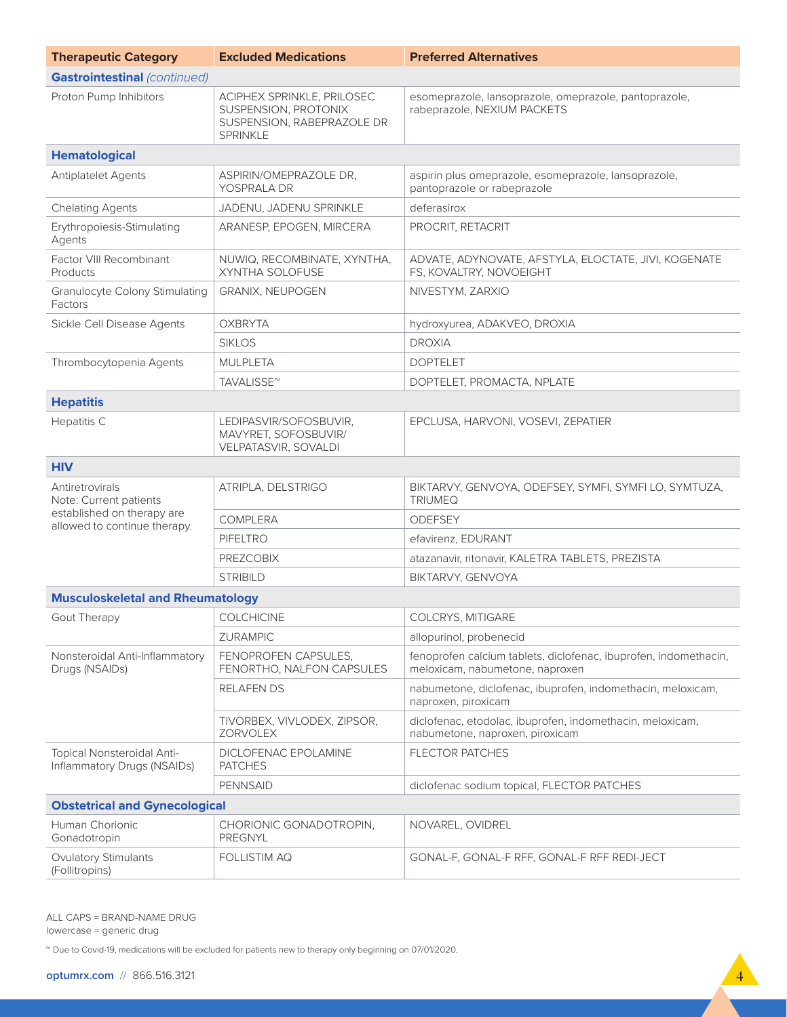| <b>Therapeutic Category</b>                                | <b>Excluded Medications</b>                                                                         | <b>Preferred Alternatives</b>                                                                       |
|------------------------------------------------------------|-----------------------------------------------------------------------------------------------------|-----------------------------------------------------------------------------------------------------|
| <b>Gastrointestinal (continued)</b>                        |                                                                                                     |                                                                                                     |
| Proton Pump Inhibitors                                     | ACIPHEX SPRINKLE, PRILOSEC<br>SUSPENSION, PROTONIX<br>SUSPENSION, RABEPRAZOLE DR<br><b>SPRINKLE</b> | esomeprazole, lansoprazole, omeprazole, pantoprazole,<br>rabeprazole, NEXIUM PACKETS                |
| <b>Hematological</b>                                       |                                                                                                     |                                                                                                     |
| <b>Antiplatelet Agents</b>                                 | ASPIRIN/OMEPRAZOLE DR,<br>YOSPRALA DR                                                               | aspirin plus omeprazole, esomeprazole, lansoprazole,<br>pantoprazole or rabeprazole                 |
| <b>Chelating Agents</b>                                    | JADENU, JADENU SPRINKLE                                                                             | deferasirox                                                                                         |
| Erythropoiesis-Stimulating<br>Agents                       | ARANESP, EPOGEN, MIRCERA                                                                            | PROCRIT, RETACRIT                                                                                   |
| Factor VIII Recombinant<br>Products                        | NUWIQ, RECOMBINATE, XYNTHA,<br>XYNTHA SOLOFUSE                                                      | ADVATE, ADYNOVATE, AFSTYLA, ELOCTATE, JIVI, KOGENATE<br>FS, KOVALTRY, NOVOEIGHT                     |
| <b>Granulocyte Colony Stimulating</b><br>Factors           | <b>GRANIX, NEUPOGEN</b>                                                                             | NIVESTYM, ZARXIO                                                                                    |
| Sickle Cell Disease Agents                                 | <b>OXBRYTA</b>                                                                                      | hydroxyurea, ADAKVEO, DROXIA                                                                        |
|                                                            | <b>SIKLOS</b>                                                                                       | <b>DROXIA</b>                                                                                       |
| Thrombocytopenia Agents                                    | <b>MULPLETA</b>                                                                                     | <b>DOPTELET</b>                                                                                     |
|                                                            | TAVALISSE <sup>~</sup>                                                                              | DOPTELET, PROMACTA, NPLATE                                                                          |
| <b>Hepatitis</b>                                           |                                                                                                     |                                                                                                     |
| Hepatitis C                                                | LEDIPASVIR/SOFOSBUVIR,<br>MAVYRET, SOFOSBUVIR/<br>VELPATASVIR, SOVALDI                              | EPCLUSA, HARVONI, VOSEVI, ZEPATIER                                                                  |
| <b>HIV</b>                                                 |                                                                                                     |                                                                                                     |
| Antiretrovirals<br>Note: Current patients                  | ATRIPLA, DELSTRIGO                                                                                  | BIKTARVY, GENVOYA, ODEFSEY, SYMFI, SYMFI LO, SYMTUZA,<br><b>TRIUMEQ</b>                             |
| established on therapy are<br>allowed to continue therapy. | <b>COMPLERA</b>                                                                                     | <b>ODEFSEY</b>                                                                                      |
|                                                            | <b>PIFELTRO</b>                                                                                     | efavirenz, EDURANT                                                                                  |
|                                                            | <b>PREZCOBIX</b>                                                                                    | atazanavir, ritonavir, KALETRA TABLETS, PREZISTA                                                    |
|                                                            | <b>STRIBILD</b>                                                                                     | BIKTARVY, GENVOYA                                                                                   |
| <b>Musculoskeletal and Rheumatology</b>                    |                                                                                                     |                                                                                                     |
| Gout Therapy                                               | COLCHICINE                                                                                          | COLCRYS, MITIGARE                                                                                   |
|                                                            | <b>ZURAMPIC</b>                                                                                     | allopurinol, probenecid                                                                             |
| Nonsteroidal Anti-Inflammatory<br>Drugs (NSAIDs)           | FENOPROFEN CAPSULES,<br>FENORTHO, NALFON CAPSULES                                                   | fenoprofen calcium tablets, diclofenac, ibuprofen, indomethacin,<br>meloxicam, nabumetone, naproxen |
|                                                            | RELAFEN DS                                                                                          | nabumetone, diclofenac, ibuprofen, indomethacin, meloxicam,<br>naproxen, piroxicam                  |
|                                                            | TIVORBEX, VIVLODEX, ZIPSOR,<br>ZORVOLEX                                                             | diclofenac, etodolac, ibuprofen, indomethacin, meloxicam,<br>nabumetone, naproxen, piroxicam        |
| Topical Nonsteroidal Anti-<br>Inflammatory Drugs (NSAIDs)  | DICLOFENAC EPOLAMINE<br><b>PATCHES</b>                                                              | <b>FLECTOR PATCHES</b>                                                                              |
|                                                            | <b>PENNSAID</b>                                                                                     | diclofenac sodium topical, FLECTOR PATCHES                                                          |
| <b>Obstetrical and Gynecological</b>                       |                                                                                                     |                                                                                                     |
| Human Chorionic<br>Gonadotropin                            | CHORIONIC GONADOTROPIN,<br>PREGNYL                                                                  | NOVAREL, OVIDREL                                                                                    |
| <b>Ovulatory Stimulants</b><br>(Follitropins)              | FOLLISTIM AQ                                                                                        | GONAL-F, GONAL-F RFF, GONAL-F RFF REDI-JECT                                                         |

ALL CAPS = BRAND-NAME DRUG lowercase = generic drug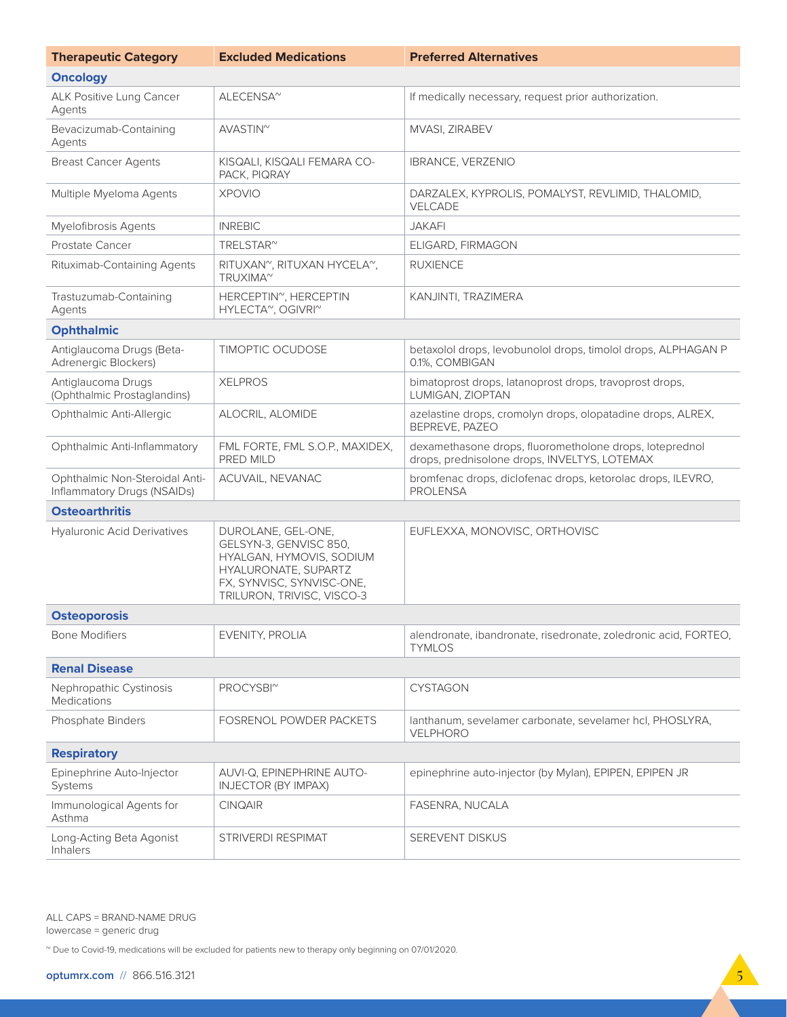| <b>Therapeutic Category</b>                                   | <b>Excluded Medications</b>                                                                                                                                 | <b>Preferred Alternatives</b>                                                                           |  |
|---------------------------------------------------------------|-------------------------------------------------------------------------------------------------------------------------------------------------------------|---------------------------------------------------------------------------------------------------------|--|
| <b>Oncology</b>                                               |                                                                                                                                                             |                                                                                                         |  |
| ALK Positive Lung Cancer<br>Agents                            | ALECENSA <sup>~</sup>                                                                                                                                       | If medically necessary, request prior authorization.                                                    |  |
| Bevacizumab-Containing<br>Agents                              | AVASTIN <sup>~</sup>                                                                                                                                        | MVASI, ZIRABEV                                                                                          |  |
| <b>Breast Cancer Agents</b>                                   | KISQALI, KISQALI FEMARA CO-<br>PACK, PIQRAY                                                                                                                 | <b>IBRANCE, VERZENIO</b>                                                                                |  |
| Multiple Myeloma Agents                                       | <b>XPOVIO</b>                                                                                                                                               | DARZALEX, KYPROLIS, POMALYST, REVLIMID, THALOMID,<br>VELCADE                                            |  |
| Myelofibrosis Agents                                          | <b>INREBIC</b>                                                                                                                                              | <b>JAKAFI</b>                                                                                           |  |
| Prostate Cancer                                               | TRELSTAR <sup>~</sup>                                                                                                                                       | ELIGARD, FIRMAGON                                                                                       |  |
| Rituximab-Containing Agents                                   | RITUXAN <sup>~</sup> , RITUXAN HYCELA <sup>~</sup> ,<br>TRUXIMA <sup>~</sup>                                                                                | <b>RUXIENCE</b>                                                                                         |  |
| Trastuzumab-Containing<br>Agents                              | HERCEPTIN <sup>~</sup> , HERCEPTIN<br>HYLECTA <sup>~</sup> , OGIVRI <sup>~</sup>                                                                            | KANJINTI, TRAZIMERA                                                                                     |  |
| <b>Ophthalmic</b>                                             |                                                                                                                                                             |                                                                                                         |  |
| Antiglaucoma Drugs (Beta-<br>Adrenergic Blockers)             | <b>TIMOPTIC OCUDOSE</b>                                                                                                                                     | betaxolol drops, levobunolol drops, timolol drops, ALPHAGAN P<br>0.1%, COMBIGAN                         |  |
| Antiglaucoma Drugs<br>(Ophthalmic Prostaglandins)             | <b>XELPROS</b>                                                                                                                                              | bimatoprost drops, latanoprost drops, travoprost drops,<br>LUMIGAN, ZIOPTAN                             |  |
| Ophthalmic Anti-Allergic                                      | ALOCRIL, ALOMIDE                                                                                                                                            | azelastine drops, cromolyn drops, olopatadine drops, ALREX,<br>BEPREVE, PAZEO                           |  |
| Ophthalmic Anti-Inflammatory                                  | FML FORTE, FML S.O.P., MAXIDEX,<br>PRED MILD                                                                                                                | dexamethasone drops, fluorometholone drops, loteprednol<br>drops, prednisolone drops, INVELTYS, LOTEMAX |  |
| Ophthalmic Non-Steroidal Anti-<br>Inflammatory Drugs (NSAIDs) | ACUVAIL, NEVANAC                                                                                                                                            | bromfenac drops, diclofenac drops, ketorolac drops, ILEVRO,<br><b>PROLENSA</b>                          |  |
| <b>Osteoarthritis</b>                                         |                                                                                                                                                             |                                                                                                         |  |
| <b>Hyaluronic Acid Derivatives</b>                            | DUROLANE, GEL-ONE,<br>GELSYN-3, GENVISC 850,<br>HYALGAN, HYMOVIS, SODIUM<br>HYALURONATE, SUPARTZ<br>FX, SYNVISC, SYNVISC-ONE,<br>TRILURON, TRIVISC, VISCO-3 | EUFLEXXA, MONOVISC, ORTHOVISC                                                                           |  |
| <b>Osteoporosis</b>                                           |                                                                                                                                                             |                                                                                                         |  |
| <b>Bone Modifiers</b>                                         | EVENITY, PROLIA                                                                                                                                             | alendronate, ibandronate, risedronate, zoledronic acid, FORTEO,<br><b>TYMLOS</b>                        |  |
| <b>Renal Disease</b>                                          |                                                                                                                                                             |                                                                                                         |  |
| Nephropathic Cystinosis<br><b>Medications</b>                 | PROCYSBI <sup>~</sup>                                                                                                                                       | <b>CYSTAGON</b>                                                                                         |  |
| Phosphate Binders                                             | FOSRENOL POWDER PACKETS                                                                                                                                     | lanthanum, sevelamer carbonate, sevelamer hcl, PHOSLYRA,<br>VELPHORO                                    |  |
| <b>Respiratory</b>                                            |                                                                                                                                                             |                                                                                                         |  |
| Epinephrine Auto-Injector<br>Systems                          | AUVI-Q, EPINEPHRINE AUTO-<br><b>INJECTOR (BY IMPAX)</b>                                                                                                     | epinephrine auto-injector (by Mylan), EPIPEN, EPIPEN JR                                                 |  |
| Immunological Agents for<br>Asthma                            | <b>CINQAIR</b>                                                                                                                                              | FASENRA, NUCALA                                                                                         |  |
| Long-Acting Beta Agonist<br><b>Inhalers</b>                   | STRIVERDI RESPIMAT                                                                                                                                          | SEREVENT DISKUS                                                                                         |  |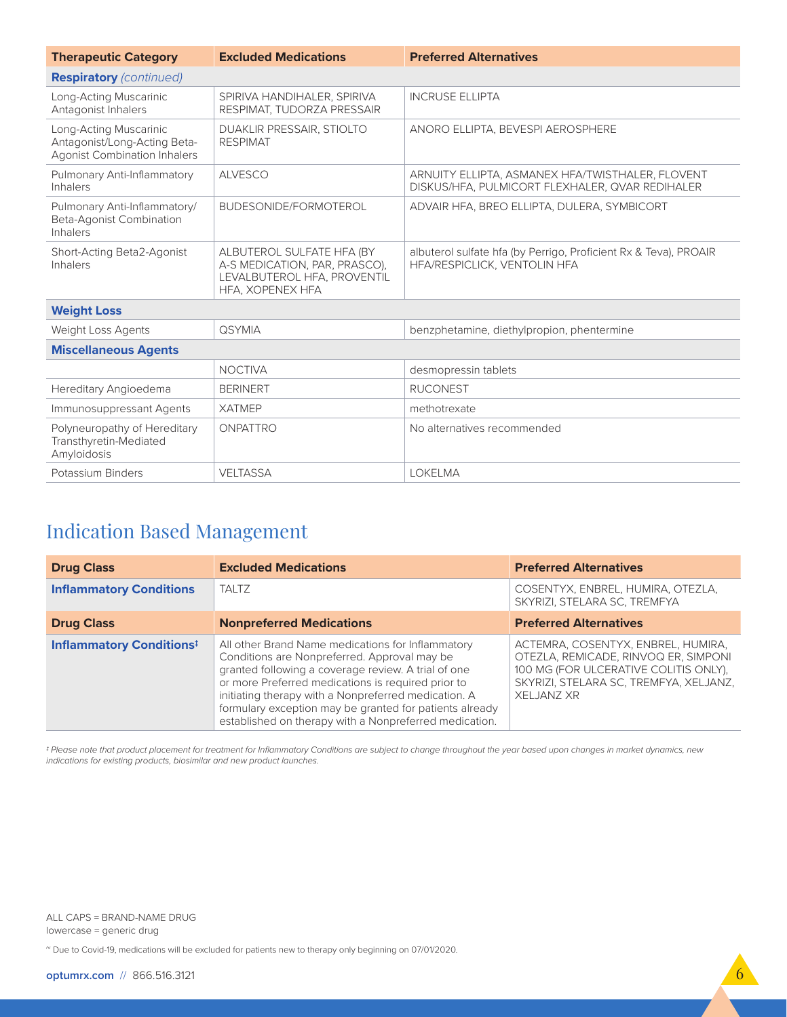| <b>Therapeutic Category</b>                                                                   | <b>Excluded Medications</b>                                                                                   | <b>Preferred Alternatives</b>                                                                       |
|-----------------------------------------------------------------------------------------------|---------------------------------------------------------------------------------------------------------------|-----------------------------------------------------------------------------------------------------|
| <b>Respiratory</b> (continued)                                                                |                                                                                                               |                                                                                                     |
| Long-Acting Muscarinic<br>Antagonist Inhalers                                                 | SPIRIVA HANDIHALER, SPIRIVA<br>RESPIMAT, TUDORZA PRESSAIR                                                     | <b>INCRUSE ELLIPTA</b>                                                                              |
| Long-Acting Muscarinic<br>Antagonist/Long-Acting Beta-<br><b>Agonist Combination Inhalers</b> | DUAKLIR PRESSAIR, STIOLTO<br><b>RESPIMAT</b>                                                                  | ANORO ELLIPTA, BEVESPI AEROSPHERE                                                                   |
| Pulmonary Anti-Inflammatory<br>Inhalers                                                       | <b>ALVESCO</b>                                                                                                | ARNUITY ELLIPTA, ASMANEX HFA/TWISTHALER, FLOVENT<br>DISKUS/HFA, PULMICORT FLEXHALER, QVAR REDIHALER |
| Pulmonary Anti-Inflammatory/<br>Beta-Agonist Combination<br><b>Inhalers</b>                   | BUDESONIDE/FORMOTEROL                                                                                         | ADVAIR HFA, BREO ELLIPTA, DULERA, SYMBICORT                                                         |
| Short-Acting Beta2-Agonist<br>Inhalers                                                        | ALBUTEROL SULFATE HFA (BY<br>A-S MEDICATION, PAR, PRASCO),<br>LEVALBUTEROL HFA, PROVENTIL<br>HFA, XOPENEX HFA | albuterol sulfate hfa (by Perrigo, Proficient Rx & Teva), PROAIR<br>HFA/RESPICLICK, VENTOLIN HFA    |
| <b>Weight Loss</b>                                                                            |                                                                                                               |                                                                                                     |
| Weight Loss Agents                                                                            | <b>QSYMIA</b>                                                                                                 | benzphetamine, diethylpropion, phentermine                                                          |
| <b>Miscellaneous Agents</b>                                                                   |                                                                                                               |                                                                                                     |
|                                                                                               | <b>NOCTIVA</b>                                                                                                | desmopressin tablets                                                                                |
| Hereditary Angioedema                                                                         | <b>BERINERT</b>                                                                                               | <b>RUCONEST</b>                                                                                     |
| Immunosuppressant Agents                                                                      | <b>XATMEP</b>                                                                                                 | methotrexate                                                                                        |
| Polyneuropathy of Hereditary<br>Transthyretin-Mediated<br>Amyloidosis                         | ONPATTRO                                                                                                      | No alternatives recommended                                                                         |
| Potassium Binders                                                                             | <b>VELTASSA</b>                                                                                               | <b>LOKELMA</b>                                                                                      |

## Indication Based Management

| <b>Drug Class</b>                | <b>Excluded Medications</b>                                                                                                                                                                                                                                                                                                                                                                 | <b>Preferred Alternatives</b>                                                                                                                                                      |
|----------------------------------|---------------------------------------------------------------------------------------------------------------------------------------------------------------------------------------------------------------------------------------------------------------------------------------------------------------------------------------------------------------------------------------------|------------------------------------------------------------------------------------------------------------------------------------------------------------------------------------|
| <b>Inflammatory Conditions</b>   | <b>TALTZ</b>                                                                                                                                                                                                                                                                                                                                                                                | COSENTYX, ENBREL, HUMIRA, OTEZLA,<br>SKYRIZI, STELARA SC, TREMFYA                                                                                                                  |
| <b>Drug Class</b>                | <b>Nonpreferred Medications</b>                                                                                                                                                                                                                                                                                                                                                             | <b>Preferred Alternatives</b>                                                                                                                                                      |
| <b>Inflammatory Conditions</b> # | All other Brand Name medications for Inflammatory<br>Conditions are Nonpreferred. Approval may be<br>granted following a coverage review. A trial of one<br>or more Preferred medications is required prior to<br>initiating therapy with a Nonpreferred medication. A<br>formulary exception may be granted for patients already<br>established on therapy with a Nonpreferred medication. | ACTEMRA, COSENTYX, ENBREL, HUMIRA,<br>OTEZLA, REMICADE, RINVOQ ER, SIMPONI<br>100 MG (FOR ULCERATIVE COLITIS ONLY).<br>SKYRIZI, STELARA SC, TREMFYA, XELJANZ,<br><b>XELJANZ XR</b> |

*‡ Please note that product placement for treatment for Inflammatory Conditions are subject to change throughout the year based upon changes in market dynamics, new indications for existing products, biosimilar and new product launches.*